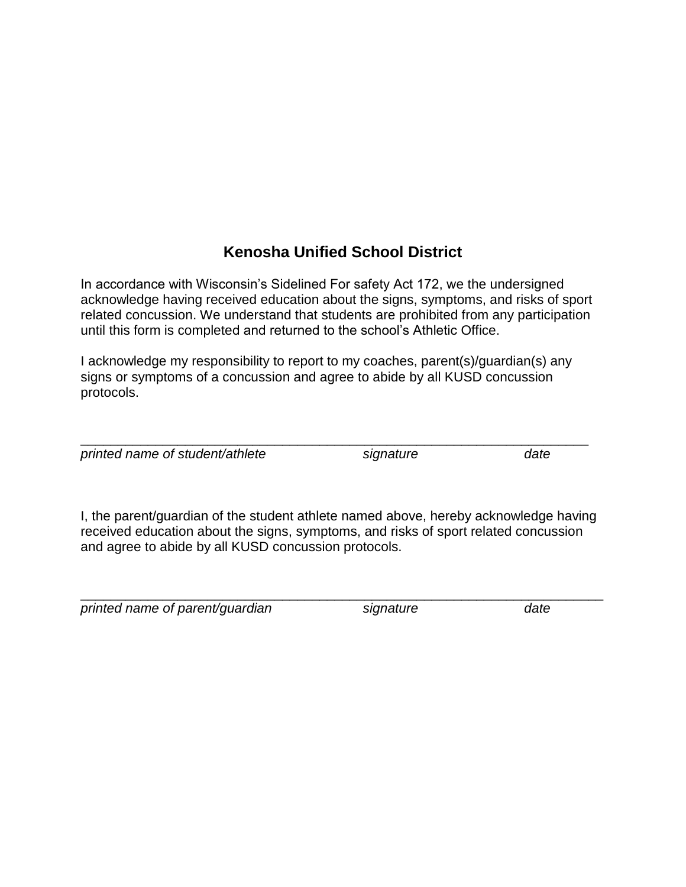#### **Kenosha Unified School District**

In accordance with Wisconsin's Sidelined For safety Act 172, we the undersigned acknowledge having received education about the signs, symptoms, and risks of sport related concussion. We understand that students are prohibited from any participation until this form is completed and returned to the school's Athletic Office.

I acknowledge my responsibility to report to my coaches, parent(s)/guardian(s) any signs or symptoms of a concussion and agree to abide by all KUSD concussion protocols.

\_\_\_\_\_\_\_\_\_\_\_\_\_\_\_\_\_\_\_\_\_\_\_\_\_\_\_\_\_\_\_\_\_\_\_\_\_\_\_\_\_\_\_\_\_\_\_\_\_\_\_\_\_\_\_\_\_\_\_\_\_\_\_\_\_\_\_\_

*printed name of student/athlete signature date*

I, the parent/guardian of the student athlete named above, hereby acknowledge having received education about the signs, symptoms, and risks of sport related concussion and agree to abide by all KUSD concussion protocols.

\_\_\_\_\_\_\_\_\_\_\_\_\_\_\_\_\_\_\_\_\_\_\_\_\_\_\_\_\_\_\_\_\_\_\_\_\_\_\_\_\_\_\_\_\_\_\_\_\_\_\_\_\_\_\_\_\_\_\_\_\_\_\_\_\_\_\_\_\_\_

*printed name of parent/guardian signature date*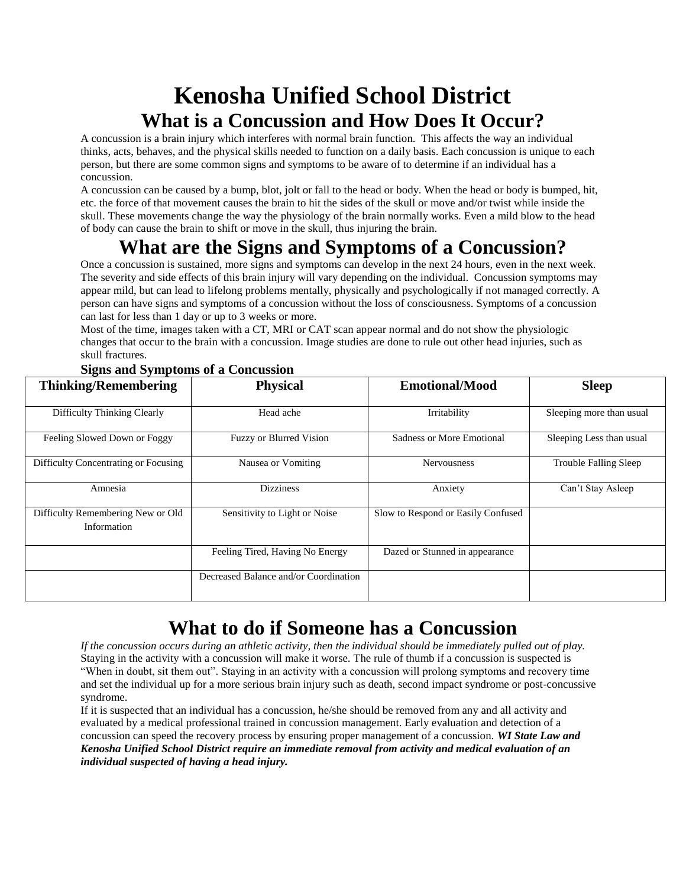# **Kenosha Unified School District What is a Concussion and How Does It Occur?**

A concussion is a brain injury which interferes with normal brain function. This affects the way an individual thinks, acts, behaves, and the physical skills needed to function on a daily basis. Each concussion is unique to each person, but there are some common signs and symptoms to be aware of to determine if an individual has a concussion.

A concussion can be caused by a bump, blot, jolt or fall to the head or body. When the head or body is bumped, hit, etc. the force of that movement causes the brain to hit the sides of the skull or move and/or twist while inside the skull. These movements change the way the physiology of the brain normally works. Even a mild blow to the head of body can cause the brain to shift or move in the skull, thus injuring the brain.

## **What are the Signs and Symptoms of a Concussion?**

Once a concussion is sustained, more signs and symptoms can develop in the next 24 hours, even in the next week. The severity and side effects of this brain injury will vary depending on the individual. Concussion symptoms may appear mild, but can lead to lifelong problems mentally, physically and psychologically if not managed correctly. A person can have signs and symptoms of a concussion without the loss of consciousness. Symptoms of a concussion can last for less than 1 day or up to 3 weeks or more.

Most of the time, images taken with a CT, MRI or CAT scan appear normal and do not show the physiologic changes that occur to the brain with a concussion. Image studies are done to rule out other head injuries, such as skull fractures.

| <b>Thinking/Remembering</b>                      | <b>Physical</b>                       | <b>Emotional/Mood</b>              | <b>Sleep</b>             |
|--------------------------------------------------|---------------------------------------|------------------------------------|--------------------------|
| Difficulty Thinking Clearly                      | Head ache                             | Irritability                       | Sleeping more than usual |
| Feeling Slowed Down or Foggy                     | <b>Fuzzy or Blurred Vision</b>        | <b>Sadness or More Emotional</b>   | Sleeping Less than usual |
| Difficulty Concentrating or Focusing             | Nausea or Vomiting                    | <b>Nervousness</b>                 | Trouble Falling Sleep    |
| Amnesia                                          | <b>Dizziness</b>                      | Anxiety                            | Can't Stay Asleep        |
| Difficulty Remembering New or Old<br>Information | Sensitivity to Light or Noise         | Slow to Respond or Easily Confused |                          |
|                                                  | Feeling Tired, Having No Energy       | Dazed or Stunned in appearance     |                          |
|                                                  | Decreased Balance and/or Coordination |                                    |                          |

#### **Signs and Symptoms of a Concussion**

### **What to do if Someone has a Concussion**

*If the concussion occurs during an athletic activity, then the individual should be immediately pulled out of play.* Staying in the activity with a concussion will make it worse. The rule of thumb if a concussion is suspected is "When in doubt, sit them out". Staying in an activity with a concussion will prolong symptoms and recovery time and set the individual up for a more serious brain injury such as death, second impact syndrome or post-concussive syndrome.

If it is suspected that an individual has a concussion, he/she should be removed from any and all activity and evaluated by a medical professional trained in concussion management. Early evaluation and detection of a concussion can speed the recovery process by ensuring proper management of a concussion. *WI State Law and Kenosha Unified School District require an immediate removal from activity and medical evaluation of an individual suspected of having a head injury.*